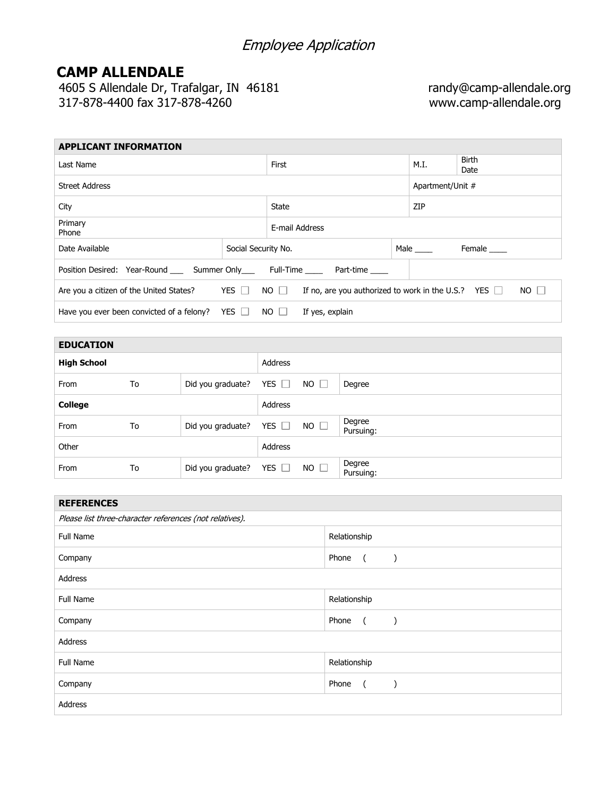# Employee Application

## **CAMP ALLENDALE**

4605 S Allendale Dr, Trafalgar, IN 46181 randy@camp-allendale.org 317-878-4400 fax 317-878-4260 www.camp-allendale.org

| <b>APPLICANT INFORMATION</b>                                                                       |                     |                 |                                                                          |  |                  |                      |  |
|----------------------------------------------------------------------------------------------------|---------------------|-----------------|--------------------------------------------------------------------------|--|------------------|----------------------|--|
| Last Name                                                                                          |                     |                 | First                                                                    |  |                  | <b>Birth</b><br>Date |  |
| <b>Street Address</b>                                                                              |                     |                 |                                                                          |  | Apartment/Unit # |                      |  |
| City                                                                                               |                     |                 | <b>State</b>                                                             |  |                  | <b>ZIP</b>           |  |
| Primary<br>Phone                                                                                   |                     |                 | E-mail Address                                                           |  |                  |                      |  |
| Date Available                                                                                     | Social Security No. |                 |                                                                          |  | Male             | Female _____         |  |
| Position Desired: Year-Round ______ Summer Only____________Full-Time ____________ Part-time ______ |                     |                 |                                                                          |  |                  |                      |  |
| Are you a citizen of the United States? $YES \Box$                                                 |                     |                 | $NO$ $\Box$<br>If no, are you authorized to work in the U.S.? YES $\Box$ |  |                  | $NO$ $\Box$          |  |
| Have you ever been convicted of a felony? YES $\square$                                            | $NO$ $\Box$         | If yes, explain |                                                                          |  |                  |                      |  |

| <b>EDUCATION</b>   |    |                   |            |             |                     |
|--------------------|----|-------------------|------------|-------------|---------------------|
| <b>High School</b> |    |                   | Address    |             |                     |
| From               | To | Did you graduate? | YES $\Box$ | $NO$ $\Box$ | Degree              |
| <b>College</b>     |    |                   | Address    |             |                     |
| From               | To | Did you graduate? | YES $\Box$ | NO          | Degree<br>Pursuing: |
| Other              |    |                   | Address    |             |                     |
| From               | To | Did you graduate? | YES $\Box$ | $NO$ $\Box$ | Degree<br>Pursuing: |

| <b>REFERENCES</b>                                       |                                          |  |  |  |  |  |
|---------------------------------------------------------|------------------------------------------|--|--|--|--|--|
| Please list three-character references (not relatives). |                                          |  |  |  |  |  |
| <b>Full Name</b>                                        | Relationship                             |  |  |  |  |  |
| Company                                                 | Phone<br>$\sqrt{2}$<br>$\lambda$         |  |  |  |  |  |
| Address                                                 |                                          |  |  |  |  |  |
| <b>Full Name</b>                                        | Relationship                             |  |  |  |  |  |
| Company                                                 | Phone<br>$\overline{a}$<br>$\rightarrow$ |  |  |  |  |  |
| Address                                                 |                                          |  |  |  |  |  |
| Full Name                                               | Relationship                             |  |  |  |  |  |
| Company                                                 | Phone<br>$\sqrt{2}$                      |  |  |  |  |  |
| Address                                                 |                                          |  |  |  |  |  |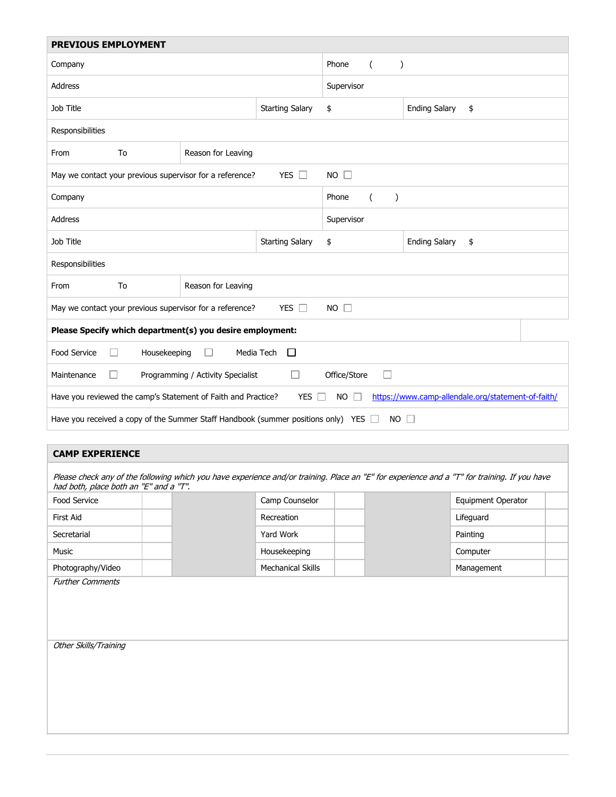| <b>PREVIOUS EMPLOYMENT</b>                                                                                                                     |                    |            |                                    |                            |  |  |  |
|------------------------------------------------------------------------------------------------------------------------------------------------|--------------------|------------|------------------------------------|----------------------------|--|--|--|
| Company                                                                                                                                        |                    |            | Phone<br>$\left($<br>$\mathcal{E}$ |                            |  |  |  |
| <b>Address</b>                                                                                                                                 |                    | Supervisor |                                    |                            |  |  |  |
| Job Title<br><b>Starting Salary</b>                                                                                                            |                    |            | \$                                 | <b>Ending Salary</b><br>\$ |  |  |  |
| Responsibilities                                                                                                                               |                    |            |                                    |                            |  |  |  |
| From<br>To                                                                                                                                     | Reason for Leaving |            |                                    |                            |  |  |  |
| May we contact your previous supervisor for a reference?                                                                                       |                    | YES $\Box$ | $NO$ $\Box$                        |                            |  |  |  |
| Company                                                                                                                                        |                    |            | Phone<br>$\left($<br>$\lambda$     |                            |  |  |  |
| <b>Address</b>                                                                                                                                 |                    | Supervisor |                                    |                            |  |  |  |
| Job Title<br><b>Starting Salary</b>                                                                                                            |                    |            | \$                                 | <b>Ending Salary</b><br>\$ |  |  |  |
| Responsibilities                                                                                                                               |                    |            |                                    |                            |  |  |  |
| To<br>Reason for Leaving<br>From                                                                                                               |                    |            |                                    |                            |  |  |  |
| May we contact your previous supervisor for a reference?<br>YES $\Box$<br>$NO$ $\Box$                                                          |                    |            |                                    |                            |  |  |  |
| Please Specify which department(s) you desire employment:                                                                                      |                    |            |                                    |                            |  |  |  |
| Food Service<br>Media Tech<br>Housekeeping<br>$\Box$<br>$\Box$                                                                                 |                    |            |                                    |                            |  |  |  |
| Office/Store<br>Maintenance<br>Programming / Activity Specialist<br>П<br>$\mathbf{L}$                                                          |                    |            |                                    |                            |  |  |  |
| https://www.camp-allendale.org/statement-of-faith/<br>Have you reviewed the camp's Statement of Faith and Practice?<br>YES $\Box$<br>$NO \Box$ |                    |            |                                    |                            |  |  |  |
| Have you received a copy of the Summer Staff Handbook (summer positions only) YES $\Box$<br>NO $\square$                                       |                    |            |                                    |                            |  |  |  |
| <b>CAMP FXPFRIFNCF</b>                                                                                                                         |                    |            |                                    |                            |  |  |  |

|                   | Camp Counselor           | Equipment Operator |
|-------------------|--------------------------|--------------------|
| First Aid         | Recreation               | Lifeguard          |
| Secretarial       | Yard Work                | Painting           |
| Music             | Housekeeping             | Computer           |
| Photography/Video | <b>Mechanical Skills</b> | Management         |
|                   |                          |                    |
|                   |                          |                    |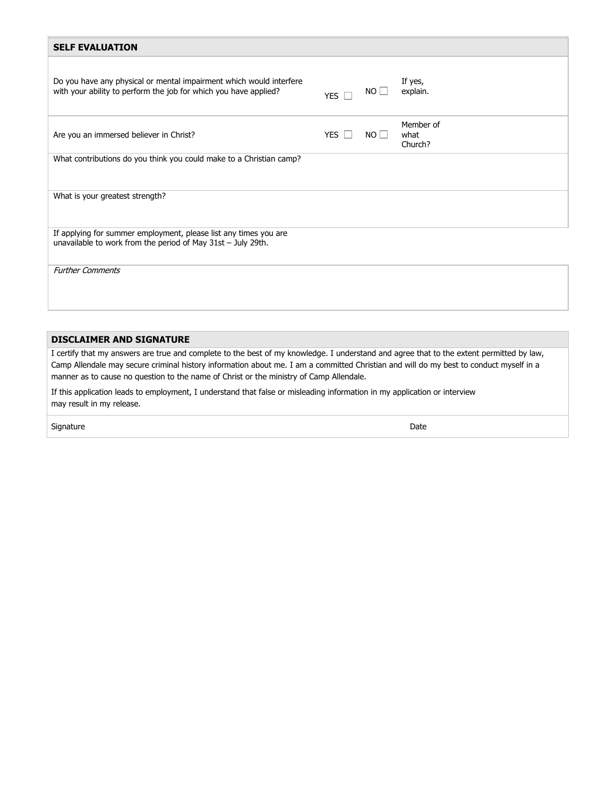| <b>SELF EVALUATION</b>                                                                                                                  |            |           |                              |
|-----------------------------------------------------------------------------------------------------------------------------------------|------------|-----------|------------------------------|
| Do you have any physical or mental impairment which would interfere<br>with your ability to perform the job for which you have applied? | YES        | NO.       | If yes,<br>explain.          |
| Are you an immersed believer in Christ?                                                                                                 | YES $\Box$ | $NO \Box$ | Member of<br>what<br>Church? |
| What contributions do you think you could make to a Christian camp?                                                                     |            |           |                              |
| What is your greatest strength?                                                                                                         |            |           |                              |
| If applying for summer employment, please list any times you are<br>unavailable to work from the period of May 31st - July 29th.        |            |           |                              |
| <b>Further Comments</b>                                                                                                                 |            |           |                              |

### **DISCLAIMER AND SIGNATURE**

I certify that my answers are true and complete to the best of my knowledge. I understand and agree that to the extent permitted by law, Camp Allendale may secure criminal history information about me. I am a committed Christian and will do my best to conduct myself in a manner as to cause no question to the name of Christ or the ministry of Camp Allendale.

If this application leads to employment, I understand that false or misleading information in my application or interview may result in my release.

signature **Date**